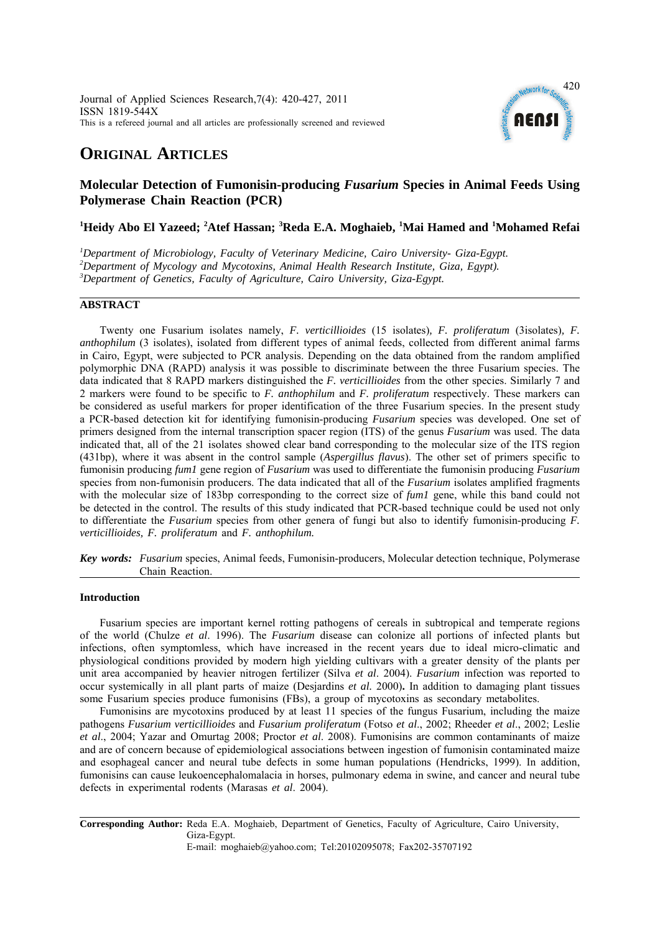

# **ORIGINAL ARTICLES**

## **Molecular Detection of Fumonisin-producing** *Fusarium* **Species in Animal Feeds Using Polymerase Chain Reaction (PCR)**

## <sup>1</sup>Heidy Abo El Yazeed; <sup>2</sup>Atef Hassan; <sup>3</sup>Reda E.A. Moghaieb, <sup>1</sup>Mai Hamed and <sup>1</sup>Mohamed Refai

<sup>1</sup>Department of Microbiology, Faculty of Veterinary Medicine, Cairo University- Giza-Egypt.<br><sup>2</sup>Department of Mysology and Mysotoxing, Animal Health Pessagge Institute Giza-Egypt. *Department of Mycology and Mycotoxins, Animal Health Research Institute, Giza, Egypt). 3 Department of Genetics, Faculty of Agriculture, Cairo University, Giza-Egypt.*

## **ABSTRACT**

Twenty one Fusarium isolates namely, *F. verticillioides* (15 isolates)*, F. proliferatum* (3isolates)*, F. anthophilum* (3 isolates), isolated from different types of animal feeds, collected from different animal farms in Cairo, Egypt, were subjected to PCR analysis. Depending on the data obtained from the random amplified polymorphic DNA (RAPD) analysis it was possible to discriminate between the three Fusarium species. The data indicated that 8 RAPD markers distinguished the *F. verticillioides* from the other species. Similarly 7 and 2 markers were found to be specific to *F. anthophilum* and *F. proliferatum* respectively. These markers can be considered as useful markers for proper identification of the three Fusarium species. In the present study a PCR-based detection kit for identifying fumonisin-producing *Fusarium* species was developed. One set of primers designed from the internal transcription spacer region (ITS) of the genus *Fusarium* was used. The data indicated that, all of the 21 isolates showed clear band corresponding to the molecular size of the ITS region (431bp), where it was absent in the control sample (*Aspergillus flavus*). The other set of primers specific to fumonisin producing *fum1* gene region of *Fusarium* was used to differentiate the fumonisin producing *Fusarium* species from non-fumonisin producers. The data indicated that all of the *Fusarium* isolates amplified fragments with the molecular size of 183bp corresponding to the correct size of *fum1* gene, while this band could not be detected in the control. The results of this study indicated that PCR-based technique could be used not only to differentiate the *Fusarium* species from other genera of fungi but also to identify fumonisin-producing *F. verticillioides, F. proliferatum* and *F. anthophilum.*

*Key words: Fusarium* species, Animal feeds, Fumonisin-producers, Molecular detection technique, Polymerase Chain Reaction.

## **Introduction**

Fusarium species are important kernel rotting pathogens of cereals in subtropical and temperate regions of the world (Chulze *et al*. 1996). The *Fusarium* disease can colonize all portions of infected plants but infections, often symptomless, which have increased in the recent years due to ideal micro-climatic and physiological conditions provided by modern high yielding cultivars with a greater density of the plants per unit area accompanied by heavier nitrogen fertilizer (Silva *et al*. 2004). *Fusarium* infection was reported to occur systemically in all plant parts of maize (Desjardins *et al.* 2000)**.** In addition to damaging plant tissues some Fusarium species produce fumonisins (FBs), a group of mycotoxins as secondary metabolites.

Fumonisins are mycotoxins produced by at least 11 species of the fungus Fusarium, including the maize pathogens *Fusarium verticillioides* and *Fusarium proliferatum* (Fotso *et al*., 2002; Rheeder *et al*., 2002; Leslie *et al*., 2004; Yazar and Omurtag 2008; Proctor *et al*. 2008). Fumonisins are common contaminants of maize and are of concern because of epidemiological associations between ingestion of fumonisin contaminated maize and esophageal cancer and neural tube defects in some human populations (Hendricks, 1999). In addition, fumonisins can cause leukoencephalomalacia in horses, pulmonary edema in swine, and cancer and neural tube defects in experimental rodents (Marasas *et al*. 2004).

**Corresponding Author:** Reda E.A. Moghaieb, Department of Genetics, Faculty of Agriculture, Cairo University, Giza-Egypt. E-mail: moghaieb@yahoo.com; Tel:20102095078; Fax202-35707192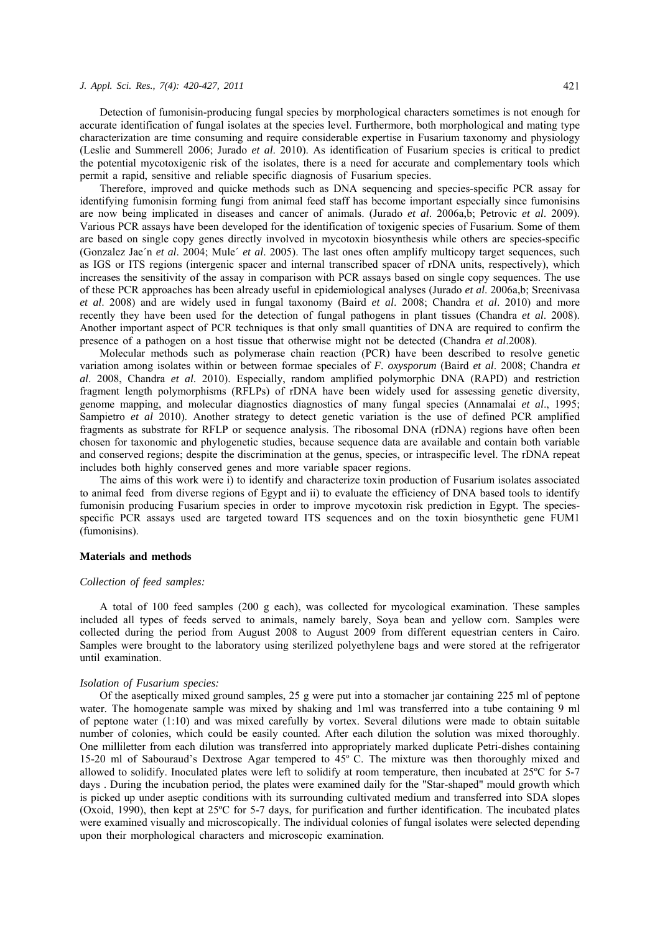Detection of fumonisin-producing fungal species by morphological characters sometimes is not enough for accurate identification of fungal isolates at the species level. Furthermore, both morphological and mating type characterization are time consuming and require considerable expertise in Fusarium taxonomy and physiology (Leslie and Summerell 2006; Jurado *et al*. 2010). As identification of Fusarium species is critical to predict the potential mycotoxigenic risk of the isolates, there is a need for accurate and complementary tools which permit a rapid, sensitive and reliable specific diagnosis of Fusarium species.

Therefore, improved and quicke methods such as DNA sequencing and species-specific PCR assay for identifying fumonisin forming fungi from animal feed staff has become important especially since fumonisins are now being implicated in diseases and cancer of animals. (Jurado *et al*. 2006a,b; Petrovic *et al*. 2009). Various PCR assays have been developed for the identification of toxigenic species of Fusarium. Some of them are based on single copy genes directly involved in mycotoxin biosynthesis while others are species-specific (Gonzalez Jae´n *et al*. 2004; Mule´ *et al*. 2005). The last ones often amplify multicopy target sequences, such as IGS or ITS regions (intergenic spacer and internal transcribed spacer of rDNA units, respectively), which increases the sensitivity of the assay in comparison with PCR assays based on single copy sequences. The use of these PCR approaches has been already useful in epidemiological analyses (Jurado *et al*. 2006a,b; Sreenivasa *et al*. 2008) and are widely used in fungal taxonomy (Baird *et al*. 2008; Chandra *et al*. 2010) and more recently they have been used for the detection of fungal pathogens in plant tissues (Chandra *et al*. 2008). Another important aspect of PCR techniques is that only small quantities of DNA are required to confirm the presence of a pathogen on a host tissue that otherwise might not be detected (Chandra *et al*.2008).

Molecular methods such as polymerase chain reaction (PCR) have been described to resolve genetic variation among isolates within or between formae speciales of *F. oxysporum* (Baird *et al*. 2008; Chandra *et al*. 2008, Chandra *et al*. 2010). Especially, random amplified polymorphic DNA (RAPD) and restriction fragment length polymorphisms (RFLPs) of rDNA have been widely used for assessing genetic diversity, genome mapping, and molecular diagnostics diagnostics of many fungal species (Annamalai *et al*., 1995; Sampietro *et al* 2010). Another strategy to detect genetic variation is the use of defined PCR amplified fragments as substrate for RFLP or sequence analysis. The ribosomal DNA (rDNA) regions have often been chosen for taxonomic and phylogenetic studies, because sequence data are available and contain both variable and conserved regions; despite the discrimination at the genus, species, or intraspecific level. The rDNA repeat includes both highly conserved genes and more variable spacer regions.

The aims of this work were i) to identify and characterize toxin production of Fusarium isolates associated to animal feed from diverse regions of Egypt and ii) to evaluate the efficiency of DNA based tools to identify fumonisin producing Fusarium species in order to improve mycotoxin risk prediction in Egypt. The speciesspecific PCR assays used are targeted toward ITS sequences and on the toxin biosynthetic gene FUM1 (fumonisins).

## **Materials and methods**

#### *Collection of feed samples:*

A total of 100 feed samples (200 g each), was collected for mycological examination. These samples included all types of feeds served to animals, namely barely, Soya bean and yellow corn. Samples were collected during the period from August 2008 to August 2009 from different equestrian centers in Cairo. Samples were brought to the laboratory using sterilized polyethylene bags and were stored at the refrigerator until examination.

#### *Isolation of Fusarium species:*

Of the aseptically mixed ground samples, 25 g were put into a stomacher jar containing 225 ml of peptone water. The homogenate sample was mixed by shaking and 1ml was transferred into a tube containing 9 ml of peptone water (1:10) and was mixed carefully by vortex. Several dilutions were made to obtain suitable number of colonies, which could be easily counted. After each dilution the solution was mixed thoroughly. One milliletter from each dilution was transferred into appropriately marked duplicate Petri-dishes containing 15-20 ml of Sabouraud's Dextrose Agar tempered to  $45^{\circ}$  C. The mixture was then thoroughly mixed and allowed to solidify. Inoculated plates were left to solidify at room temperature, then incubated at 25ºC for 5-7 days . During the incubation period, the plates were examined daily for the "Star-shaped" mould growth which is picked up under aseptic conditions with its surrounding cultivated medium and transferred into SDA slopes (Oxoid, 1990), then kept at 25ºC for 5-7 days, for purification and further identification. The incubated plates were examined visually and microscopically. The individual colonies of fungal isolates were selected depending upon their morphological characters and microscopic examination.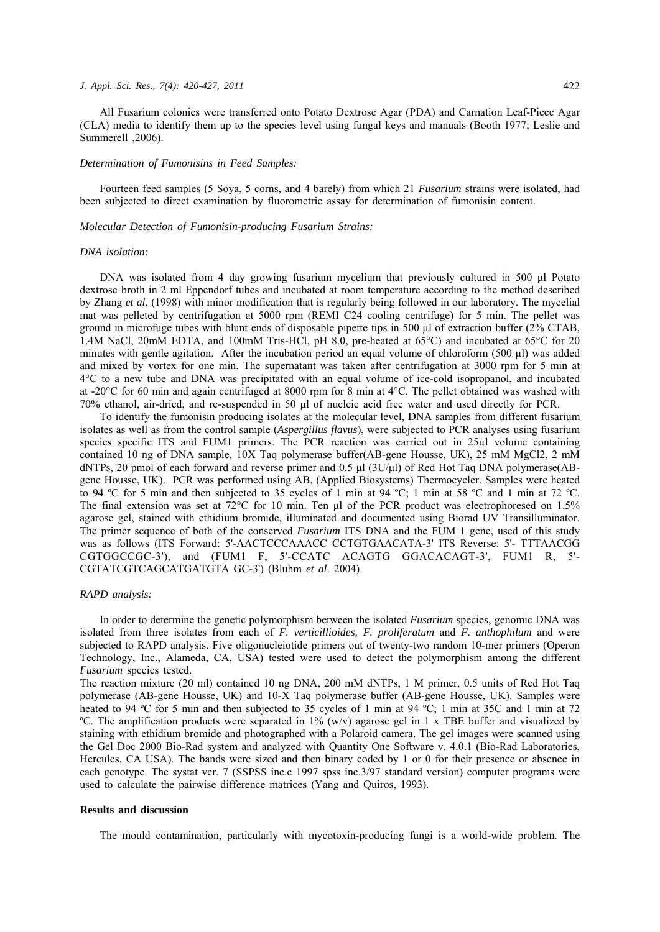All Fusarium colonies were transferred onto Potato Dextrose Agar (PDA) and Carnation Leaf-Piece Agar (CLA) media to identify them up to the species level using fungal keys and manuals (Booth 1977; Leslie and Summerell ,2006).

#### *Determination of Fumonisins in Feed Samples:*

Fourteen feed samples (5 Soya, 5 corns, and 4 barely) from which 21 *Fusarium* strains were isolated, had been subjected to direct examination by fluorometric assay for determination of fumonisin content.

#### *Molecular Detection of Fumonisin-producing Fusarium Strains:*

#### *DNA isolation:*

DNA was isolated from 4 day growing fusarium mycelium that previously cultured in 500 μl Potato dextrose broth in 2 ml Eppendorf tubes and incubated at room temperature according to the method described by Zhang *et al*. (1998) with minor modification that is regularly being followed in our laboratory. The mycelial mat was pelleted by centrifugation at 5000 rpm (REMI C24 cooling centrifuge) for 5 min. The pellet was ground in microfuge tubes with blunt ends of disposable pipette tips in 500 μl of extraction buffer (2% CTAB, 1.4M NaCl, 20mM EDTA, and 100mM Tris-HCl, pH 8.0, pre-heated at 65°C) and incubated at 65°C for 20 minutes with gentle agitation. After the incubation period an equal volume of chloroform (500 μl) was added and mixed by vortex for one min. The supernatant was taken after centrifugation at 3000 rpm for 5 min at 4°C to a new tube and DNA was precipitated with an equal volume of ice-cold isopropanol, and incubated at -20°C for 60 min and again centrifuged at 8000 rpm for 8 min at 4°C. The pellet obtained was washed with 70% ethanol, air-dried, and re-suspended in 50 μl of nucleic acid free water and used directly for PCR.

To identify the fumonisin producing isolates at the molecular level, DNA samples from different fusarium isolates as well as from the control sample (*Aspergillus flavus*), were subjected to PCR analyses using fusarium species specific ITS and FUM1 primers. The PCR reaction was carried out in 25µl volume containing contained 10 ng of DNA sample, 10X Taq polymerase buffer(AB-gene Housse, UK), 25 mM MgCl2, 2 mM dNTPs, 20 pmol of each forward and reverse primer and 0.5 μl (3U/μl) of Red Hot Taq DNA polymerase(ABgene Housse, UK). PCR was performed using AB, (Applied Biosystems) Thermocycler. Samples were heated to 94 ºC for 5 min and then subjected to 35 cycles of 1 min at 94 ºC; 1 min at 58 ºC and 1 min at 72 ºC. The final extension was set at 72°C for 10 min. Ten μl of the PCR product was electrophoresed on 1.5% agarose gel, stained with ethidium bromide, illuminated and documented using Biorad UV Transilluminator. The primer sequence of both of the conserved *Fusarium* ITS DNA and the FUM 1 gene, used of this study was as follows (ITS Forward: 5'-AACTCCCAAACC CCTGTGAACATA-3' ITS Reverse: 5'- TTTAACGG CGTGGCCGC-3'), and (FUM1 F, 5'-CCATC ACAGTG GGACACAGT-3', FUM1 R, 5'- CGTATCGTCAGCATGATGTA GC-3') (Bluhm *et al*. 2004).

## *RAPD analysis:*

In order to determine the genetic polymorphism between the isolated *Fusarium* species, genomic DNA was isolated from three isolates from each of *F. verticillioides, F. proliferatum* and *F. anthophilum* and were subjected to RAPD analysis. Five oligonucleiotide primers out of twenty-two random 10-mer primers (Operon Technology, Inc., Alameda, CA, USA) tested were used to detect the polymorphism among the different *Fusarium* species tested.

The reaction mixture (20 ml) contained 10 ng DNA, 200 mM dNTPs, 1 M primer, 0.5 units of Red Hot Taq polymerase (AB-gene Housse, UK) and 10-X Taq polymerase buffer (AB-gene Housse, UK). Samples were heated to 94 °C for 5 min and then subjected to 35 cycles of 1 min at 94 °C; 1 min at 35C and 1 min at 72 <sup>o</sup>C. The amplification products were separated in  $1\%$  (w/v) agarose gel in 1 x TBE buffer and visualized by staining with ethidium bromide and photographed with a Polaroid camera. The gel images were scanned using the Gel Doc 2000 Bio-Rad system and analyzed with Quantity One Software v. 4.0.1 (Bio-Rad Laboratories, Hercules, CA USA). The bands were sized and then binary coded by 1 or 0 for their presence or absence in each genotype. The systat ver. 7 (SSPSS inc.c 1997 spss inc.3/97 standard version) computer programs were used to calculate the pairwise difference matrices (Yang and Quiros, 1993).

#### **Results and discussion**

The mould contamination, particularly with mycotoxin-producing fungi is a world-wide problem. The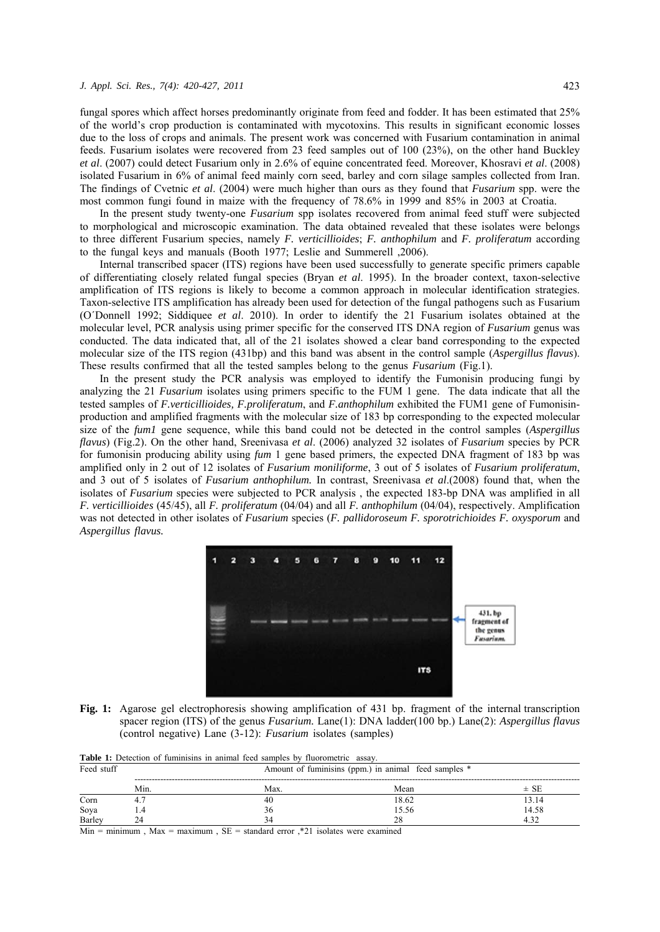fungal spores which affect horses predominantly originate from feed and fodder. It has been estimated that 25% of the world's crop production is contaminated with mycotoxins. This results in significant economic losses due to the loss of crops and animals. The present work was concerned with Fusarium contamination in animal feeds. Fusarium isolates were recovered from 23 feed samples out of 100 (23%), on the other hand Buckley *et al*. (2007) could detect Fusarium only in 2.6% of equine concentrated feed. Moreover, Khosravi *et al*. (2008) isolated Fusarium in 6% of animal feed mainly corn seed, barley and corn silage samples collected from Iran. The findings of Cvetnic *et al*. (2004) were much higher than ours as they found that *Fusarium* spp. were the most common fungi found in maize with the frequency of 78.6% in 1999 and 85% in 2003 at Croatia.

In the present study twenty-one *Fusarium* spp isolates recovered from animal feed stuff were subjected to morphological and microscopic examination. The data obtained revealed that these isolates were belongs to three different Fusarium species, namely *F. verticillioides*; *F. anthophilum* and *F. proliferatum* according to the fungal keys and manuals (Booth 1977; Leslie and Summerell ,2006).

Internal transcribed spacer (ITS) regions have been used successfully to generate specific primers capable of differentiating closely related fungal species (Bryan *et al*. 1995). In the broader context, taxon-selective amplification of ITS regions is likely to become a common approach in molecular identification strategies. Taxon-selective ITS amplification has already been used for detection of the fungal pathogens such as Fusarium (O´Donnell 1992; Siddiquee *et al*. 2010). In order to identify the 21 Fusarium isolates obtained at the molecular level, PCR analysis using primer specific for the conserved ITS DNA region of *Fusarium* genus was conducted. The data indicated that, all of the 21 isolates showed a clear band corresponding to the expected molecular size of the ITS region (431bp) and this band was absent in the control sample (*Aspergillus flavus*). These results confirmed that all the tested samples belong to the genus *Fusarium* (Fig.1).

In the present study the PCR analysis was employed to identify the Fumonisin producing fungi by analyzing the 21 *Fusarium* isolates using primers specific to the FUM 1 gene. The data indicate that all the tested samples of *F.verticillioides, F.proliferatum*, and *F.anthophilum* exhibited the FUM1 gene of Fumonisinproduction and amplified fragments with the molecular size of 183 bp corresponding to the expected molecular size of the *fum1* gene sequence, while this band could not be detected in the control samples (*Aspergillus flavus*) (Fig.2). On the other hand, Sreenivasa *et al*. (2006) analyzed 32 isolates of *Fusarium* species by PCR for fumonisin producing ability using *fum* 1 gene based primers, the expected DNA fragment of 183 bp was amplified only in 2 out of 12 isolates of *Fusarium moniliforme*, 3 out of 5 isolates of *Fusarium proliferatum*, and 3 out of 5 isolates of *Fusarium anthophilum.* In contrast, Sreenivasa *et al*.(2008) found that, when the isolates of *Fusarium* species were subjected to PCR analysis , the expected 183-bp DNA was amplified in all *F. verticillioides* (45/45), all *F. proliferatum* (04/04) and all *F. anthophilum* (04/04), respectively. Amplification was not detected in other isolates of *Fusarium* species (*F. pallidoroseum F. sporotrichioides F. oxysporum* and *Aspergillus flavus.*



**Fig. 1:** Agarose gel electrophoresis showing amplification of 431 bp. fragment of the internal transcription spacer region (ITS) of the genus *Fusarium.* Lane(1): DNA ladder(100 bp.) Lane(2): *Aspergillus flavus* (control negative) Lane (3-12): *Fusarium* isolates (samples)

| Feed stuff |      | Amount of fuminisins (ppm.) in animal feed samples * |       |          |  |  |  |
|------------|------|------------------------------------------------------|-------|----------|--|--|--|
|            | Min. | Max.                                                 | Mean  | $\pm$ SE |  |  |  |
| Corn       |      | 40                                                   | 18.62 | 13.14    |  |  |  |
| Soya       |      | 36                                                   | 15.56 | 14.58    |  |  |  |
| Barley     | 24   | 34                                                   | 28    | 4.32     |  |  |  |

Table 1: Detection of fuminisins in animal feed samples by fluorometric assay.

Min = minimum, Max = maximum,  $SE =$  standard error ,\*21 isolates were examined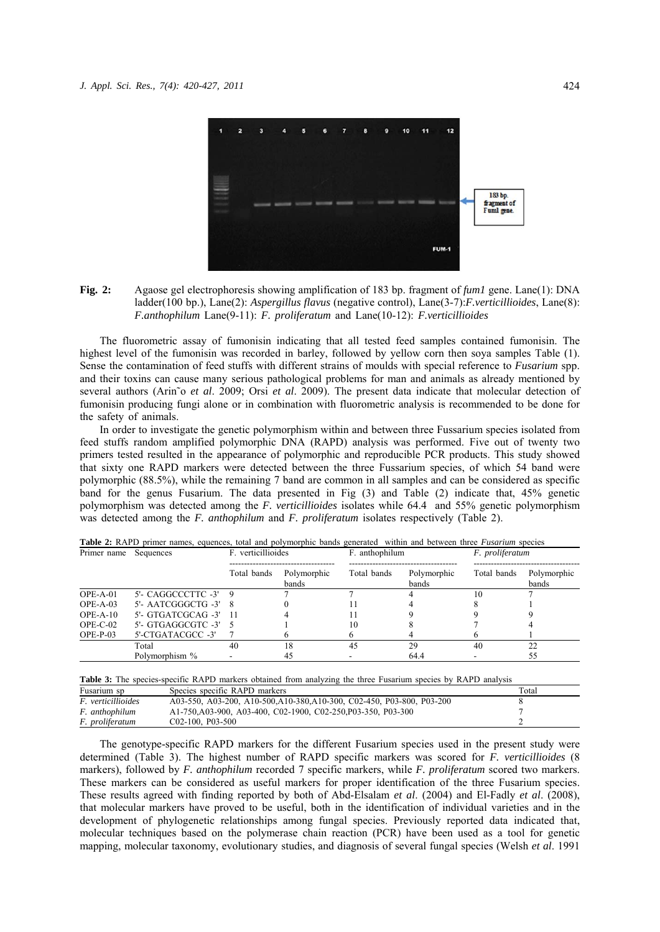

**Fig. 2:** Agaose gel electrophoresis showing amplification of 183 bp. fragment of *fum1* gene. Lane(1): DNA ladder(100 bp.), Lane(2): *Aspergillus flavus* (negative control), Lane(3-7):*F.verticillioides*, Lane(8): *F.anthophilum* Lane(9-11): *F. proliferatum* and Lane(10-12): *F.verticillioides*

The fluorometric assay of fumonisin indicating that all tested feed samples contained fumonisin. The highest level of the fumonisin was recorded in barley, followed by yellow corn then soya samples Table (1). Sense the contamination of feed stuffs with different strains of moulds with special reference to *Fusarium* spp. and their toxins can cause many serious pathological problems for man and animals as already mentioned by several authors (Arin˜o *et al*. 2009; Orsi *et al*. 2009). The present data indicate that molecular detection of fumonisin producing fungi alone or in combination with fluorometric analysis is recommended to be done for the safety of animals.

In order to investigate the genetic polymorphism within and between three Fussarium species isolated from feed stuffs random amplified polymorphic DNA (RAPD) analysis was performed. Five out of twenty two primers tested resulted in the appearance of polymorphic and reproducible PCR products. This study showed that sixty one RAPD markers were detected between the three Fussarium species, of which 54 band were polymorphic (88.5%), while the remaining 7 band are common in all samples and can be considered as specific band for the genus Fusarium. The data presented in Fig (3) and Table (2) indicate that, 45% genetic polymorphism was detected among the *F. verticillioides* isolates while 64.4 and 55% genetic polymorphism was detected among the *F. anthophilum* and *F. proliferatum* isolates respectively (Table 2).

| Primer name Sequences |                          | F. verticillioides |                      | F. anthophilum |                      | F. proliferatum |                      |
|-----------------------|--------------------------|--------------------|----------------------|----------------|----------------------|-----------------|----------------------|
|                       |                          | Total bands        | Polymorphic<br>bands | Total bands    | Polymorphic<br>bands | Total bands     | Polymorphic<br>bands |
| $OPE-A-01$            | $5'$ - CAGGCCCTTC -3' 9  |                    |                      |                |                      | 10              |                      |
| $OPE-A-03$            | $5'$ - AATCGGGCTG -3' 8  |                    |                      |                |                      |                 |                      |
| $OPE-A-10$            | $5'$ - GTGATCGCAG -3' 11 |                    |                      |                |                      |                 |                      |
| $OPE-C-02$            | $5'$ - GTGAGGCGTC -3' 5  |                    |                      | 10             |                      |                 |                      |
| $OPE-P-03$            | 5'-CTGATACGCC -3'        |                    |                      |                |                      |                 |                      |
|                       | Total                    | 40                 | 18                   | 45             | 29                   | 40              | 22                   |
|                       | Polymorphism %           |                    | 45                   |                | 64.4                 |                 | 55                   |

**Table 2:** RAPD primer names, equences, total and polymorphic bands generated within and between three *Fusarium* species

**Table 3:** The species-specific RAPD markers obtained from analyzing the three Fusarium species by RAPD analysis

| Fusarium sp               | Species specific RAPD markers                                          | Total |
|---------------------------|------------------------------------------------------------------------|-------|
| <i>F. verticillioides</i> | A03-550, A03-200, A10-500, A10-380, A10-300, C02-450, P03-800, P03-200 |       |
| F. anthophilum            | A1-750, A03-900, A03-400, C02-1900, C02-250, P03-350, P03-300          |       |
| F. proliferatum           | $C02-100$ , P03-500                                                    |       |

The genotype-specific RAPD markers for the different Fusarium species used in the present study were determined (Table 3). The highest number of RAPD specific markers was scored for *F. verticillioides* (8 markers), followed by *F. anthophilum* recorded 7 specific markers, while *F. proliferatum* scored two markers. These markers can be considered as useful markers for proper identification of the three Fusarium species. These results agreed with finding reported by both of Abd-Elsalam *et al*. (2004) and El-Fadly *et al*. (2008), that molecular markers have proved to be useful, both in the identification of individual varieties and in the development of phylogenetic relationships among fungal species. Previously reported data indicated that, molecular techniques based on the polymerase chain reaction (PCR) have been used as a tool for genetic mapping, molecular taxonomy, evolutionary studies, and diagnosis of several fungal species (Welsh *et al*. 1991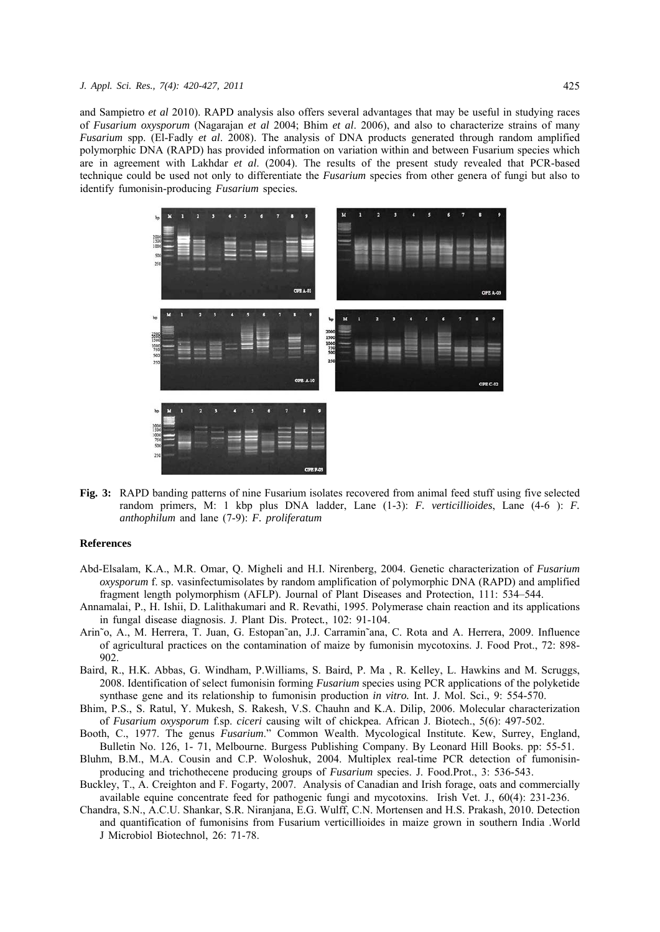and Sampietro *et al* 2010). RAPD analysis also offers several advantages that may be useful in studying races of *Fusarium oxysporum* (Nagarajan *et al* 2004; Bhim *et al*. 2006), and also to characterize strains of many *Fusarium* spp. (El-Fadly *et al*. 2008). The analysis of DNA products generated through random amplified polymorphic DNA (RAPD) has provided information on variation within and between Fusarium species which are in agreement with Lakhdar *et al*. (2004). The results of the present study revealed that PCR-based technique could be used not only to differentiate the *Fusarium* species from other genera of fungi but also to identify fumonisin-producing *Fusarium* species*.*



**Fig. 3:** RAPD banding patterns of nine Fusarium isolates recovered from animal feed stuff using five selected random primers, M: 1 kbp plus DNA ladder, Lane (1-3): *F. verticillioides*, Lane (4-6 ): *F. anthophilum* and lane (7-9): *F. proliferatum*

## **References**

- Abd-Elsalam, K.A., M.R. Omar, Q. Migheli and H.I. Nirenberg, 2004. Genetic characterization of *Fusarium oxysporum* f. sp. vasinfectumisolates by random amplification of polymorphic DNA (RAPD) and amplified fragment length polymorphism (AFLP). Journal of Plant Diseases and Protection, 111: 534–544.
- Annamalai, P., H. Ishii, D. Lalithakumari and R. Revathi, 1995. Polymerase chain reaction and its applications in fungal disease diagnosis. J. Plant Dis. Protect*.*, 102: 91-104.
- Arin˜o, A., M. Herrera, T. Juan, G. Estopan˜an, J.J. Carramin˜ana, C. Rota and A. Herrera, 2009. Influence of agricultural practices on the contamination of maize by fumonisin mycotoxins. J. Food Prot., 72: 898- 902.
- Baird, R., H.K. Abbas, G. Windham, P.Williams, S. Baird, P. Ma , R. Kelley, L. Hawkins and M. Scruggs, 2008. Identification of select fumonisin forming *Fusarium* species using PCR applications of the polyketide synthase gene and its relationship to fumonisin production *in vitro.* Int. J. Mol. Sci., 9: 554-570.
- Bhim, P.S., S. Ratul, Y. Mukesh, S. Rakesh, V.S. Chauhn and K.A. Dilip, 2006. Molecular characterization of *Fusarium oxysporum* f.sp. *ciceri* causing wilt of chickpea. African J. Biotech., 5(6): 497-502.
- Booth, C., 1977. The genus *Fusarium*." Common Wealth. Mycological Institute. Kew, Surrey, England, Bulletin No. 126, 1- 71, Melbourne. Burgess Publishing Company. By Leonard Hill Books. pp: 55-51.
- Bluhm, B.M., M.A. Cousin and C.P. Woloshuk, 2004. Multiplex real-time PCR detection of fumonisinproducing and trichothecene producing groups of *Fusarium* species. J. Food.Prot., 3: 536-543.
- Buckley, T., A. Creighton and F. Fogarty, 2007. Analysis of Canadian and Irish forage, oats and commercially available equine concentrate feed for pathogenic fungi and mycotoxins. Irish Vet. J., 60(4): 231-236.
- Chandra, S.N., A.C.U. Shankar, S.R. Niranjana, E.G. Wulff, C.N. Mortensen and H.S. Prakash, 2010. Detection and quantification of fumonisins from Fusarium verticillioides in maize grown in southern India .World J Microbiol Biotechnol, 26: 71-78.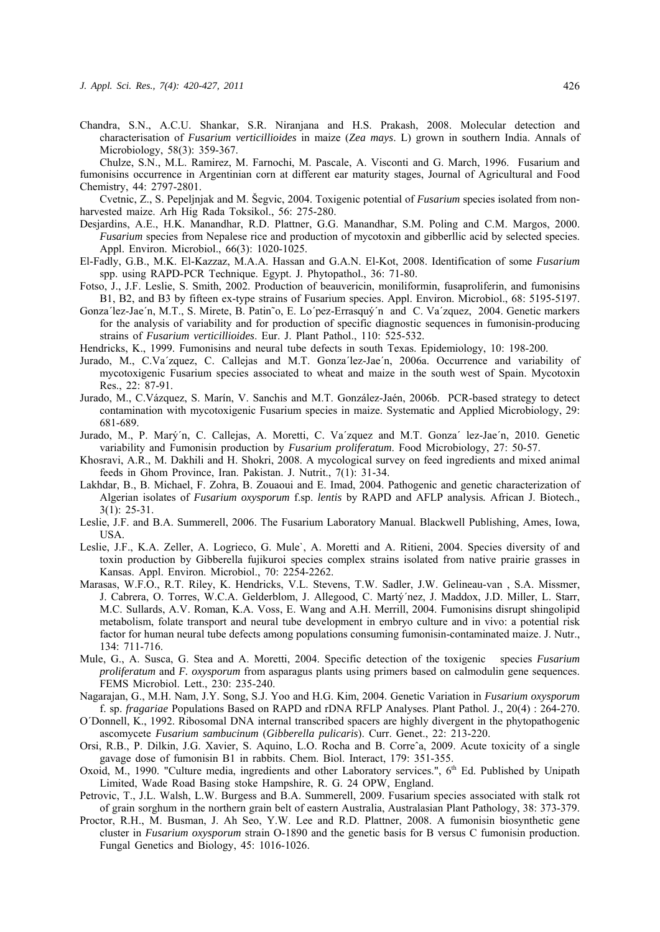Chandra, S.N., A.C.U. Shankar, S.R. Niranjana and H.S. Prakash, 2008. Molecular detection and characterisation of *Fusarium verticillioides* in maize (*Zea mays*. L) grown in southern India. Annals of Microbiology, 58(3): 359-367.

Chulze, S.N., M.L. Ramirez, M. Farnochi, M. Pascale, A. Visconti and G. March, 1996. Fusarium and fumonisins occurrence in Argentinian corn at different ear maturity stages, Journal of Agricultural and Food Chemistry, 44: 2797-2801.

Cvetnic, Z., S. Pepeljnjak and M. Šegvic, 2004. Toxigenic potential of *Fusarium* species isolated from nonharvested maize. Arh Hig Rada Toksikol., 56: 275-280.

- Desjardins, A.E., H.K. Manandhar, R.D. Plattner, G.G. Manandhar, S.M. Poling and C.M. Margos, 2000. *Fusarium* species from Nepalese rice and production of mycotoxin and gibberllic acid by selected species. Appl. Environ. Microbiol., 66(3): 1020-1025.
- El-Fadly, G.B., M.K. El-Kazzaz, M.A.A. Hassan and G.A.N. El-Kot, 2008. Identification of some *Fusarium* spp. using RAPD-PCR Technique. Egypt. J. Phytopathol., 36: 71-80.
- Fotso, J., J.F. Leslie, S. Smith, 2002. Production of beauvericin, moniliformin, fusaproliferin, and fumonisins B1, B2, and B3 by fifteen ex-type strains of Fusarium species. Appl. Environ. Microbiol., 68: 5195-5197.
- Gonza´lez-Jae´n, M.T., S. Mirete, B. Patin˜o, E. Lo´pez-Errasquý´n and C. Va´zquez, 2004. Genetic markers for the analysis of variability and for production of specific diagnostic sequences in fumonisin-producing strains of *Fusarium verticillioides*. Eur. J. Plant Pathol., 110: 525-532.

Hendricks, K., 1999. Fumonisins and neural tube defects in south Texas. Epidemiology, 10: 198-200.

- Jurado, M., C.Va´zquez, C. Callejas and M.T. Gonza´lez-Jae´n, 2006a. Occurrence and variability of mycotoxigenic Fusarium species associated to wheat and maize in the south west of Spain. Mycotoxin Res., 22: 87-91.
- Jurado, M., C.Vázquez, S. Marín, V. Sanchis and M.T. González-Jaén, 2006b. PCR-based strategy to detect contamination with mycotoxigenic Fusarium species in maize. Systematic and Applied Microbiology, 29: 681-689.
- Jurado, M., P. Marý´n, C. Callejas, A. Moretti, C. Va´zquez and M.T. Gonza´ lez-Jae´n, 2010. Genetic variability and Fumonisin production by *Fusarium proliferatum*. Food Microbiology, 27: 50-57.
- Khosravi, A.R., M. Dakhili and H. Shokri, 2008. A mycological survey on feed ingredients and mixed animal feeds in Ghom Province, Iran. Pakistan. J. Nutrit., 7(1): 31-34.
- Lakhdar, B., B. Michael, F. Zohra, B. Zouaoui and E. Imad, 2004. Pathogenic and genetic characterization of Algerian isolates of *Fusarium oxysporum* f.sp. *lentis* by RAPD and AFLP analysis*.* African J. Biotech., 3(1): 25-31.
- Leslie, J.F. and B.A. Summerell, 2006. The Fusarium Laboratory Manual. Blackwell Publishing, Ames, Iowa, USA.
- Leslie, J.F., K.A. Zeller, A. Logrieco, G. Mule`, A. Moretti and A. Ritieni, 2004. Species diversity of and toxin production by Gibberella fujikuroi species complex strains isolated from native prairie grasses in Kansas. Appl. Environ. Microbiol., 70: 2254-2262.
- Marasas, W.F.O., R.T. Riley, K. Hendricks, V.L. Stevens, T.W. Sadler, J.W. Gelineau-van , S.A. Missmer, J. Cabrera, O. Torres, W.C.A. Gelderblom, J. Allegood, C. Martý´nez, J. Maddox, J.D. Miller, L. Starr, M.C. Sullards, A.V. Roman, K.A. Voss, E. Wang and A.H. Merrill, 2004. Fumonisins disrupt shingolipid metabolism, folate transport and neural tube development in embryo culture and in vivo: a potential risk factor for human neural tube defects among populations consuming fumonisin-contaminated maize. J. Nutr., 134: 711-716.
- Mule, G., A. Susca, G. Stea and A. Moretti, 2004. Specific detection of the toxigenic species *Fusarium proliferatum* and *F. oxysporum* from asparagus plants using primers based on calmodulin gene sequences. FEMS Microbiol. Lett., 230: 235-240.
- Nagarajan, G., M.H. Nam, J.Y. Song, S.J. Yoo and H.G. Kim, 2004. Genetic Variation in *Fusarium oxysporum* f. sp. *fragariae* Populations Based on RAPD and rDNA RFLP Analyses. Plant Pathol. J., 20(4) : 264-270.
- O´Donnell, K., 1992. Ribosomal DNA internal transcribed spacers are highly divergent in the phytopathogenic ascomycete *Fusarium sambucinum* (*Gibberella pulicaris*). Curr. Genet., 22: 213-220.
- Orsi, R.B., P. Dilkin, J.G. Xavier, S. Aquino, L.O. Rocha and B. Correˆa, 2009. Acute toxicity of a single gavage dose of fumonisin B1 in rabbits. Chem. Biol. Interact, 179: 351-355.
- Oxoid, M., 1990. "Culture media, ingredients and other Laboratory services.", 6<sup>th</sup> Ed. Published by Unipath Limited, Wade Road Basing stoke Hampshire, R. G. 24 OPW, England.
- Petrovic, T., J.L. Walsh, L.W. Burgess and B.A. Summerell, 2009. Fusarium species associated with stalk rot of grain sorghum in the northern grain belt of eastern Australia, Australasian Plant Pathology, 38: 373-379.
- Proctor, R.H., M. Busman, J. Ah Seo, Y.W. Lee and R.D. Plattner, 2008. A fumonisin biosynthetic gene cluster in *Fusarium oxysporum* strain O-1890 and the genetic basis for B versus C fumonisin production. Fungal Genetics and Biology, 45: 1016-1026.